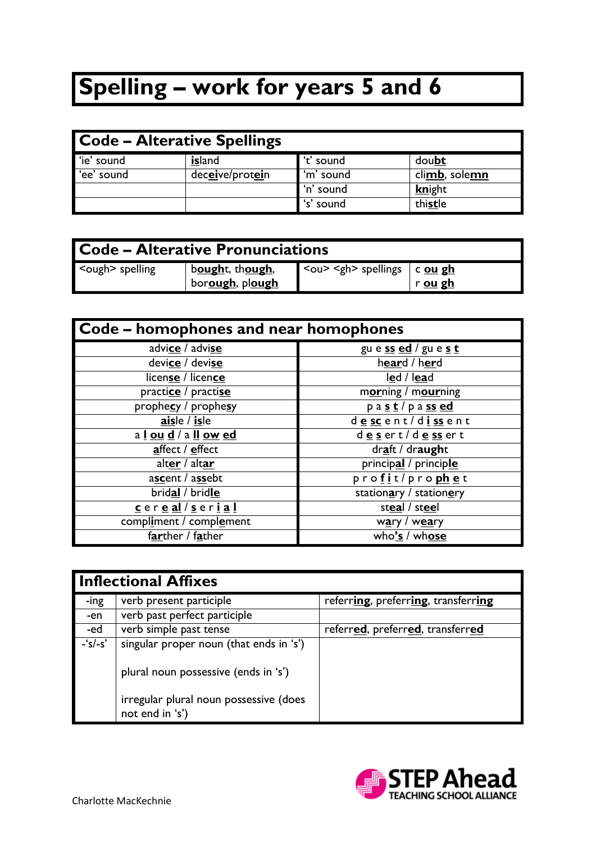## **Spelling – work for years 5 and 6**

| <b>Code - Alterative Spellings</b> |                 |           |               |
|------------------------------------|-----------------|-----------|---------------|
| 'ie' sound                         | island          | 't' sound | doubt         |
| 'ee' sound                         | deceive/protein | 'm' sound | climb, solemn |
|                                    |                 | 'n' sound | knight        |
|                                    |                 | 's' sound | thistle       |

| <b>Code - Alterative Pronunciations</b> |                                    |                                                                |                |
|-----------------------------------------|------------------------------------|----------------------------------------------------------------|----------------|
| Sough> spelling                         | bought, though,<br>borough, plough | $\sim$ <ou> <gh> spellings <math>\mid</math> c ou gh</gh></ou> | r <u>ou gh</u> |

| Code – homophones and near homophones |                                               |
|---------------------------------------|-----------------------------------------------|
| advice / advise                       | gu e ss ed / gu e s t                         |
| device / devise                       | heard / herd                                  |
| license / licence                     | led / lead                                    |
| practice / practise                   | morning / mourning                            |
| prophecy / prophesy                   | $\overline{p}$ a s t / $\overline{p}$ a ss ed |
| $\overline{aisle}/isle$               | descent/dissent                               |
| aloud/allowed                         | desert/dessert                                |
| affect / effect                       | $dr$ aft / draught                            |
| alter / altar                         | principal / principle                         |
| ascent / assebt                       | profit/prophet                                |
| bridal / bridle                       | stationary / stationery                       |
| cereal/serial                         | steal / steel                                 |
| compliment / complement               | wary / weary                                  |
| farther / father                      | who's $/$ whose                               |

| <b>Inflectional Affixes</b> |                                                                                                                                              |                                     |
|-----------------------------|----------------------------------------------------------------------------------------------------------------------------------------------|-------------------------------------|
| -ing                        | verb present participle                                                                                                                      | referring, preferring, transferring |
| -en                         | verb past perfect participle                                                                                                                 |                                     |
| -ed                         | verb simple past tense                                                                                                                       | referred, preferred, transferred    |
| $-$ 's/-s'                  | singular proper noun (that ends in 's')<br>plural noun possessive (ends in 's')<br>irregular plural noun possessive (does<br>not end in 's') |                                     |